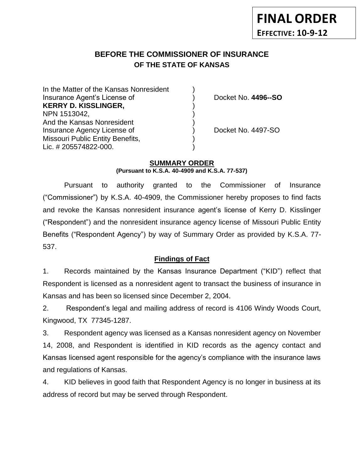# **BEFORE THE COMMISSIONER OF INSURANCE OF THE STATE OF KANSAS**

| In the Matter of the Kansas Nonresident |                     |
|-----------------------------------------|---------------------|
| Insurance Agent's License of            | Docket No. 4496--SO |
| <b>KERRY D. KISSLINGER,</b>             |                     |
| NPN 1513042,                            |                     |
| And the Kansas Nonresident              |                     |
| Insurance Agency License of             | Docket No. 4497-SO  |
| Missouri Public Entity Benefits,        |                     |
| Lic. # 205574822-000.                   |                     |

## **SUMMARY ORDER**

**(Pursuant to K.S.A. 40-4909 and K.S.A. 77-537)**

Pursuant to authority granted to the Commissioner of Insurance ("Commissioner") by K.S.A. 40-4909, the Commissioner hereby proposes to find facts and revoke the Kansas nonresident insurance agent's license of Kerry D. Kisslinger ("Respondent") and the nonresident insurance agency license of Missouri Public Entity Benefits ("Respondent Agency") by way of Summary Order as provided by K.S.A. 77- 537.

## **Findings of Fact**

1. Records maintained by the Kansas Insurance Department ("KID") reflect that Respondent is licensed as a nonresident agent to transact the business of insurance in Kansas and has been so licensed since December 2, 2004.

2. Respondent's legal and mailing address of record is 4106 Windy Woods Court, Kingwood, TX 77345-1287.

3. Respondent agency was licensed as a Kansas nonresident agency on November 14, 2008, and Respondent is identified in KID records as the agency contact and Kansas licensed agent responsible for the agency's compliance with the insurance laws and regulations of Kansas.

4. KID believes in good faith that Respondent Agency is no longer in business at its address of record but may be served through Respondent.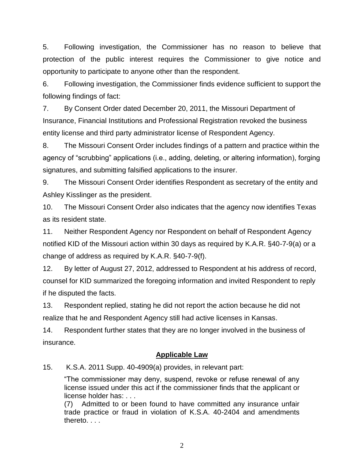5. Following investigation, the Commissioner has no reason to believe that protection of the public interest requires the Commissioner to give notice and opportunity to participate to anyone other than the respondent.

6. Following investigation, the Commissioner finds evidence sufficient to support the following findings of fact:

7. By Consent Order dated December 20, 2011, the Missouri Department of Insurance, Financial Institutions and Professional Registration revoked the business entity license and third party administrator license of Respondent Agency.

8. The Missouri Consent Order includes findings of a pattern and practice within the agency of "scrubbing" applications (i.e., adding, deleting, or altering information), forging signatures, and submitting falsified applications to the insurer.

9. The Missouri Consent Order identifies Respondent as secretary of the entity and Ashley Kisslinger as the president.

10. The Missouri Consent Order also indicates that the agency now identifies Texas as its resident state.

11. Neither Respondent Agency nor Respondent on behalf of Respondent Agency notified KID of the Missouri action within 30 days as required by K.A.R. §40-7-9(a) or a change of address as required by K.A.R. §40-7-9(f).

12. By letter of August 27, 2012, addressed to Respondent at his address of record, counsel for KID summarized the foregoing information and invited Respondent to reply if he disputed the facts.

13. Respondent replied, stating he did not report the action because he did not realize that he and Respondent Agency still had active licenses in Kansas.

14. Respondent further states that they are no longer involved in the business of insurance.

# **Applicable Law**

15. K.S.A. 2011 Supp. 40-4909(a) provides, in relevant part:

"The commissioner may deny, suspend, revoke or refuse renewal of any license issued under this act if the commissioner finds that the applicant or license holder has: . . .

(7) Admitted to or been found to have committed any insurance unfair trade practice or fraud in violation of K.S.A. 40-2404 and amendments thereto. . . .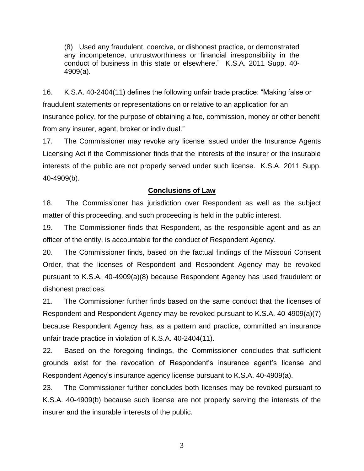(8) Used any fraudulent, coercive, or dishonest practice, or demonstrated any incompetence, untrustworthiness or financial irresponsibility in the conduct of business in this state or elsewhere." K.S.A. 2011 Supp. 40- 4909(a).

16. K.S.A. 40-2404(11) defines the following unfair trade practice: "Making false or fraudulent statements or representations on or relative to an application for an insurance policy, for the purpose of obtaining a fee, commission, money or other benefit from any insurer, agent, broker or individual."

17. The Commissioner may revoke any license issued under the Insurance Agents Licensing Act if the Commissioner finds that the interests of the insurer or the insurable interests of the public are not properly served under such license. K.S.A. 2011 Supp. 40-4909(b).

## **Conclusions of Law**

18. The Commissioner has jurisdiction over Respondent as well as the subject matter of this proceeding, and such proceeding is held in the public interest.

19. The Commissioner finds that Respondent, as the responsible agent and as an officer of the entity, is accountable for the conduct of Respondent Agency.

20. The Commissioner finds, based on the factual findings of the Missouri Consent Order, that the licenses of Respondent and Respondent Agency may be revoked pursuant to K.S.A. 40-4909(a)(8) because Respondent Agency has used fraudulent or dishonest practices.

21. The Commissioner further finds based on the same conduct that the licenses of Respondent and Respondent Agency may be revoked pursuant to K.S.A. 40-4909(a)(7) because Respondent Agency has, as a pattern and practice, committed an insurance unfair trade practice in violation of K.S.A. 40-2404(11).

22. Based on the foregoing findings, the Commissioner concludes that sufficient grounds exist for the revocation of Respondent's insurance agent's license and Respondent Agency's insurance agency license pursuant to K.S.A. 40-4909(a).

23. The Commissioner further concludes both licenses may be revoked pursuant to K.S.A. 40-4909(b) because such license are not properly serving the interests of the insurer and the insurable interests of the public.

3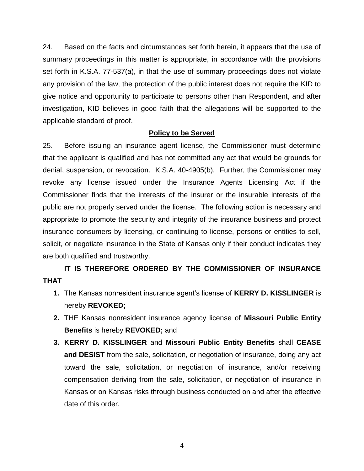24. Based on the facts and circumstances set forth herein, it appears that the use of summary proceedings in this matter is appropriate, in accordance with the provisions set forth in K.S.A. 77-537(a), in that the use of summary proceedings does not violate any provision of the law, the protection of the public interest does not require the KID to give notice and opportunity to participate to persons other than Respondent, and after investigation, KID believes in good faith that the allegations will be supported to the applicable standard of proof.

# **Policy to be Served**

25. Before issuing an insurance agent license, the Commissioner must determine that the applicant is qualified and has not committed any act that would be grounds for denial, suspension, or revocation. K.S.A. 40-4905(b). Further, the Commissioner may revoke any license issued under the Insurance Agents Licensing Act if the Commissioner finds that the interests of the insurer or the insurable interests of the public are not properly served under the license. The following action is necessary and appropriate to promote the security and integrity of the insurance business and protect insurance consumers by licensing, or continuing to license, persons or entities to sell, solicit, or negotiate insurance in the State of Kansas only if their conduct indicates they are both qualified and trustworthy.

# **IT IS THEREFORE ORDERED BY THE COMMISSIONER OF INSURANCE THAT**

- **1.** The Kansas nonresident insurance agent's license of **KERRY D. KISSLINGER** is hereby **REVOKED;**
- **2.** THE Kansas nonresident insurance agency license of **Missouri Public Entity Benefits** is hereby **REVOKED;** and
- **3. KERRY D. KISSLINGER** and **Missouri Public Entity Benefits** shall **CEASE and DESIST** from the sale, solicitation, or negotiation of insurance, doing any act toward the sale, solicitation, or negotiation of insurance, and/or receiving compensation deriving from the sale, solicitation, or negotiation of insurance in Kansas or on Kansas risks through business conducted on and after the effective date of this order.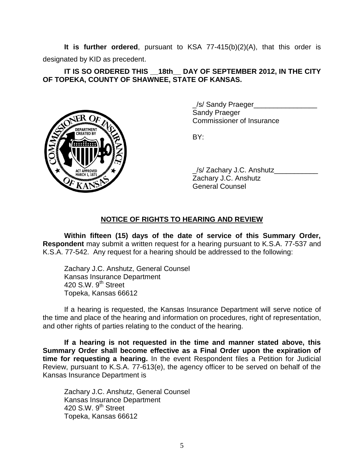**It is further ordered**, pursuant to KSA 77-415(b)(2)(A), that this order is designated by KID as precedent.

## **IT IS SO ORDERED THIS \_\_18th\_\_ DAY OF SEPTEMBER 2012, IN THE CITY OF TOPEKA, COUNTY OF SHAWNEE, STATE OF KANSAS.**



\_/s/ Sandy Praeger\_\_\_\_\_\_\_\_\_\_\_\_\_\_\_\_ Sandy Praeger Commissioner of Insurance

BY:

/s/ Zachary J.C. Anshutz Zachary J.C. Anshutz General Counsel

# **NOTICE OF RIGHTS TO HEARING AND REVIEW**

**Within fifteen (15) days of the date of service of this Summary Order, Respondent** may submit a written request for a hearing pursuant to K.S.A. 77-537 and K.S.A. 77-542. Any request for a hearing should be addressed to the following:

Zachary J.C. Anshutz, General Counsel Kansas Insurance Department 420 S.W.  $9<sup>th</sup>$  Street Topeka, Kansas 66612

If a hearing is requested, the Kansas Insurance Department will serve notice of the time and place of the hearing and information on procedures, right of representation, and other rights of parties relating to the conduct of the hearing.

**If a hearing is not requested in the time and manner stated above, this Summary Order shall become effective as a Final Order upon the expiration of time for requesting a hearing.** In the event Respondent files a Petition for Judicial Review, pursuant to K.S.A. 77-613(e), the agency officer to be served on behalf of the Kansas Insurance Department is

Zachary J.C. Anshutz, General Counsel Kansas Insurance Department 420 S.W.  $9<sup>th</sup>$  Street Topeka, Kansas 66612